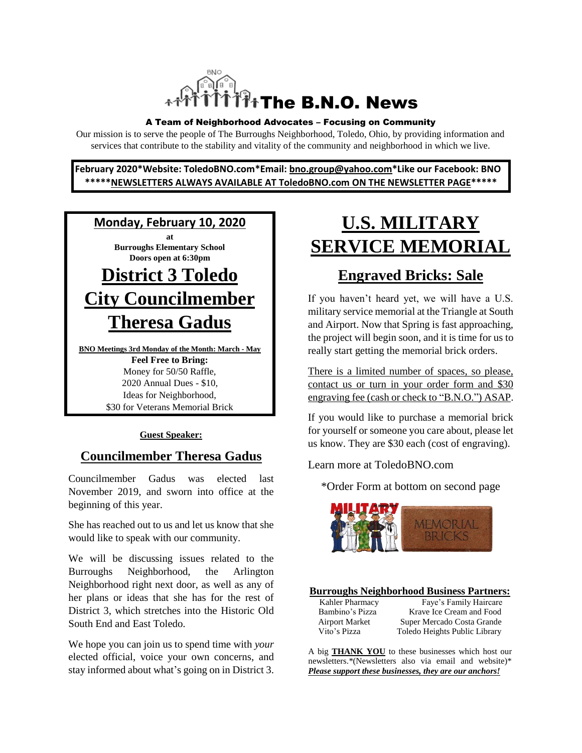

#### A Team of Neighborhood Advocates – Focusing on Community

Our mission is to serve the people of The Burroughs Neighborhood, Toledo, Ohio, by providing information and services that contribute to the stability and vitality of the community and neighborhood in which we live.

**February 2020\*Website: ToledoBNO.com\*Email: bno.group@yahoo.com\*Like our Facebook: BNO \*\*\*\*\*NEWSLETTERS ALWAYS AVAILABLE AT ToledoBNO.com ON THE NEWSLETTER PAGE\*\*\*\*\***



**BNO Meetings 3rd Monday of the Month: March - May Feel Free to Bring:**  Money for 50/50 Raffle, 2020 Annual Dues - \$10, Ideas for Neighborhood, \$30 for Veterans Memorial Brick

#### **Guest Speaker:**

#### **Councilmember Theresa Gadus**

Councilmember Gadus was elected last November 2019, and sworn into office at the beginning of this year.

She has reached out to us and let us know that she would like to speak with our community.

We will be discussing issues related to the Burroughs Neighborhood, the Arlington Neighborhood right next door, as well as any of her plans or ideas that she has for the rest of District 3, which stretches into the Historic Old South End and East Toledo.

We hope you can join us to spend time with *your* elected official, voice your own concerns, and stay informed about what's going on in District 3.

# **U.S. MILITARY SERVICE MEMORIAL**

### **Engraved Bricks: Sale**

If you haven't heard yet, we will have a U.S. military service memorial at the Triangle at South and Airport. Now that Spring is fast approaching, the project will begin soon, and it is time for us to really start getting the memorial brick orders.

There is a limited number of spaces, so please, contact us or turn in your order form and \$30 engraving fee (cash or check to "B.N.O.") ASAP.

If you would like to purchase a memorial brick for yourself or someone you care about, please let us know. They are \$30 each (cost of engraving).

Learn more at ToledoBNO.com

\*Order Form at bottom on second page



#### **Burroughs Neighborhood Business Partners:**

| Kahler Pharmacy       | Faye's Family Haircare        |
|-----------------------|-------------------------------|
| Bambino's Pizza       | Krave Ice Cream and Food      |
| <b>Airport Market</b> | Super Mercado Costa Grande    |
| Vito's Pizza          | Toledo Heights Public Library |
|                       |                               |

A big **THANK YOU** to these businesses which host our newsletters.\*(Newsletters also via email and website)\* *Please support these businesses, they are our anchors!*